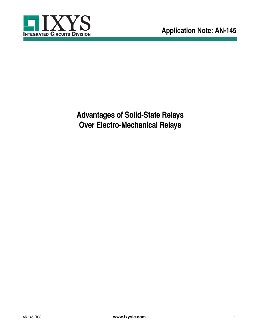

**Advantages of Solid-State Relays Over Electro-Mechanical Relays**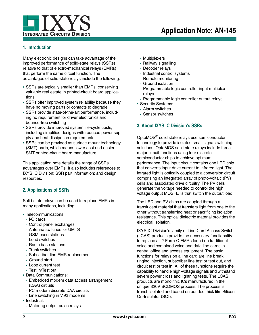

## **1. Introduction**

Many electronic designs can take advantage of the improved performance of solid-state relays (SSRs) relative to that of electro-mechanical relays (EMRs) that perform the same circuit function. The advantages of solid-state relays include the following:

- **•** SSRs are typically smaller than EMRs, conserving valuable real estate in printed-circuit board applications
- **•** SSRs offer improved system reliability because they have no moving parts or contacts to degrade
- **•** SSRs provide state-of-the-art performance, including no requirement for driver electronics and bounce-free switching
- **•** SSRs provide improved system life-cycle costs, including simplified designs with reduced power supply and heat dissipation requirements.
- **•** SSRs can be provided as surface-mount technology (SMT) parts, which means lower cost and easier SMT printed-circuit board manufacture

This application note details the range of SSRs advantages over EMRs. It also includes references to IXYS IC Division; SSR part information; and design resources.

## <span id="page-1-0"></span>**2. Applications of SSRs**

Solid-state relays can be used to replace EMRs in many applications, including:

- **•** Telecommunications:
	- **-** I/O cards
	- **-** Control panel exchanges
	- **-** Antenna switches for UMTS
	- **-** GSM base stations
	- **-** Load switches
	- **-** Radio base stations
	- **-** Trunk switches
	- **-** Subscriber line EMR replacement
	- **-** Ground start
	- **-** Loop current test
	- **-** Test in/Test out
- **•** Data Communications:
	- **-** Embedded modem data access arrangement (DAA) circuits
	- **-** PC modem discrete DAA circuits
	- **-** Line switching in V.92 modems
- **•** Industrial:
	- **-** Metering output pulse relays
- **-** Multiplexers
- **-** Railway signalling
- **-** Decoder relays
- **-** Industrial control systems
- **-** Remote monitoring
- **-** Ground isolation
- **-** Programmable logic controller input multiplex relays
- **-** Programmable logic controller output relays
- **•** Security Systems:
- **-** Alarm switches
- **-** Sensor switches

## **3. About IXYS IC Division's SSRs**

OptoMOS® solid state relays use semiconductor technology to provide isolated small signal switching solutions. OptoMOS solid-state relays include three major circuit functions using four discrete semiconductor chips to achieve optimum performance. The input circuit contains one LED chip that converts input drive current to infrared light. The infrared light is optically coupled to a conversion circuit comprising an integrated array of photo-voltaic (PV) cells and associated drive circuitry. The PV cells generate the voltage needed to control the high voltage output MOSFETs that switch the output load.

The LED and PV chips are coupled through a translucent material that transfers light from one to the other without transferring heat or sacrificing isolation resistance. This optical dielectric material provides the electrical isolation.

IXYS IC Division's family of Line Card Access Switch (LCAS) products provide the necessary functionality to replace all 2-Form-C EMRs found on traditional voice and combined voice and data line cards in central office and access equipment. The basic functions for relays on a line card are line break, ringing injection, subscriber line test or test out, and circuit test or test in. All of these functions require the capability to handle high-voltage signals and withstand severe power cross and lightning tests. The LCAS products are monolithic ICs manufactured in the unique 320V BCDMOS process. The process is trench isolated and based on bonded thick film Silicon-On-Insulator (SOI).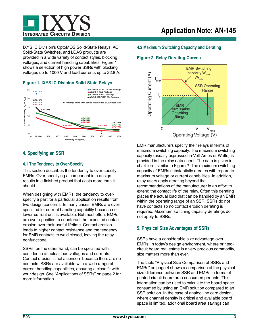

IXYS IC Division's OptoMOS Solid-State Relays, AC Solid-State Switches, and LCAS products are provided in a wide variety of contact styles, blocking voltages, and current handling capabilities. Figure 1 shows a selection of high power SSRs with blocking voltages up to 1000 V and load currents up to 22.8 A.





# **4. Specifying an SSR**

## **4.1 The Tendency to Over-Specify**

This section describes the tendency to over-specify EMRs. Over-specifying a component in a design results in a finished product that costs more than it should.

When designing with EMRs, the tendency to overspecify a part for a particular application results from two design concerns. In many cases, EMRs are overspecified for current handling capability because no lower-current unit is available. But most often, EMRs are over-specified to counteract the expected contact erosion over their useful lifetime. Contact erosion leads to higher contact resistance and the tendency for EMR contacts to weld closed, leaving the relay nonfunctional.

SSRs, on the other hand, can be specified with confidence at actual load voltages and currents. Contact erosion is not a concern because there are no contacts. SSRs are available with a wide range of current handling capabilities, ensuring a close fit with your design. See ["Applications of SSRs" on page 2](#page-1-0) for more information.

### **4.2 Maximum Switching Capacity and Derating**

#### <span id="page-2-0"></span>**Figure 2. Relay Derating Curves**



EMR manufacturers specify their relays in terms of maximum switching capacity. The maximum switching capacity (usually expressed in Volt-Amps or Watts) is provided in the relay data sheet. The data is given in chart form similar to [Figure 2.](#page-2-0) The maximum switching capacity of EMRs substantially derates with regard to maximum voltage or current capabilities. In addition, relay users apply derating beyond the recommendations of the manufacturer in an effort to extend the contact life of the relay. Often this derating places the actual load that can be handled by an EMR within the operating range of an SSR. SSRs do not have contacts so no contact erosion derating is required. Maximum switching capacity deratings do not apply to SSRs.

## **5. Physical Size Advantages of SSRs**

SSRs have a considerable size advantage over EMRs. In today's design environment, where printedcircuit board real estate is a very precious commodity, size matters more than ever.

The table ["Physical Size Comparison of SSRs and](#page-3-0)  [EMRs" on page 4](#page-3-0) shows a comparison of the physical size difference between SSR and EMRs in terms of printed-circuit board area consumed per pole. This information can be used to calculate the board space consumed by using an EMR solution compared to an SSR solution. In the case of analog line card design, where channel density is critical and available board space is limited, additional board area savings can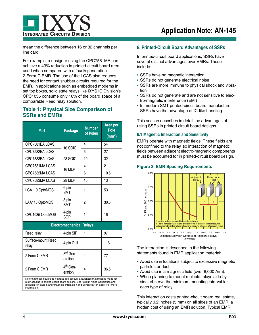

mean the difference between 16 or 32 channels per line card.

For example, a designer using the CPC7581MA can achieve a 43% reduction in printed-circuit board area used when compared with a fourth generation 2-Form-C EMR. The use of the LCAS also reduces the need for contact snubber circuits required for the EMR. In applications such as embedded modems in set top boxes, solid state relays like IXYS IC Division's CPC1035 consume only 16% of the board space of a comparable Reed relay solution.

## <span id="page-3-0"></span>**Table 1: Physical Size Comparison of SSRs and EMRs**

| Part                                                                                                                                                                                                                                                                         | <b>Package</b>                  | <b>Number</b><br>of Poles | Area per<br>Pole<br>$\text{(mm}^2)$ |  |
|------------------------------------------------------------------------------------------------------------------------------------------------------------------------------------------------------------------------------------------------------------------------------|---------------------------------|---------------------------|-------------------------------------|--|
| CPC7581BA LCAS                                                                                                                                                                                                                                                               | 16 SOIC                         | 4                         | 54                                  |  |
| CPC7582BA LCAS                                                                                                                                                                                                                                                               |                                 | 6                         | 27                                  |  |
| CPC7583BA LCAS                                                                                                                                                                                                                                                               | 28 SOIC                         | 10                        | 32                                  |  |
| CPC7581MALCAS                                                                                                                                                                                                                                                                | 16 MLP                          | 4                         | 21                                  |  |
| CPC7582MA LCAS                                                                                                                                                                                                                                                               |                                 | 6                         | 10.5                                |  |
| CPC7583MA LCAS                                                                                                                                                                                                                                                               | <b>28 MLP</b>                   | 10                        | 13                                  |  |
| LCA110 OptoMOS                                                                                                                                                                                                                                                               | 6-pin<br><b>SMT</b>             | 1                         | 53                                  |  |
| LAA110 OptoMOS                                                                                                                                                                                                                                                               | 8-pin<br><b>SMT</b>             | 2                         | 30.5                                |  |
| CPC1035 OptoMOS                                                                                                                                                                                                                                                              | 4-pin<br>SOP                    | 1                         | 16                                  |  |
| <b>Electromechanical Relays</b>                                                                                                                                                                                                                                              |                                 |                           |                                     |  |
| Reed relay                                                                                                                                                                                                                                                                   | 4-pin SIP                       | 1                         | 97                                  |  |
| Surface-mount Reed<br>relay                                                                                                                                                                                                                                                  | 4-pin Gull                      | 1                         | 116                                 |  |
| 2 Form C EMR                                                                                                                                                                                                                                                                 | 3 <sup>rd</sup> Gen-<br>eration | 4                         | 77                                  |  |
| 2 Form C EMR                                                                                                                                                                                                                                                                 | 4 <sup>th</sup> Gen-<br>eration | 4                         | 36.5                                |  |
| Note that these figures do not take into account allowances that must be made for<br>relay spacing in printed-circuit board designs. See "Circuit Noise Generation and<br>Isolation" on page 5 and "Magnetic Interaction and Sensitivity" on page 4 for more<br>information. |                                 |                           |                                     |  |

### **6. Printed-Circuit Board Advantages of SSRs**

In printed-circuit board applications, SSRs have several distinct advantages over EMRs. These include:

- **•** SSRs have no magnetic interaction
- **•** SSRs do not generate electrical noise
- **•** SSRs are more immune to physical shock and vibration
- **•** SSRs do not generate and are not sensitive to electro-magnetic interference (EMI)
- **•** In modern SMT printed-circuit board manufacture, SSRs have the advantage of IC-like handling

This section describes in detail the advantages of using SSRs in printed-circuit board designs.

#### <span id="page-3-1"></span>**6.1 Magnetic Interaction and Sensitivity**

EMRs operate with magnetic fields. These fields are not confined to the relay, so interaction of magnetic fields between adjacent electro-magnetic components must be accounted for in printed-circuit board design.

#### <span id="page-3-2"></span>**Figure 3. EMR Spacing Requirements**



The interaction is described in the following statements found in EMR application material:

- **•** Avoid use in locations subject to excessive magnetic particles or dust.
- **•** Avoid use in a magnetic field (over 8,000 A/m).
- **•** When planning to mount multiple relays side-byside, observe the minimum mounting interval for each type of relay.

This interaction costs printed-circuit board real estate, typically 0.2 inches (5 mm) on all sides of an EMR, a hidden cost of using an EMR solution. Typical EMR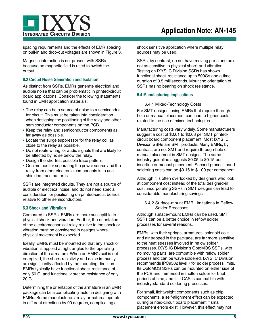spacing requirements and the effects of EMR spacing on pull-in and drop-out voltages are shown in [Figure 3.](#page-3-2)

Magnetic interaction is not present with SSRs because no magnetic field is used to switch the output.

### <span id="page-4-0"></span>**6.2 Circuit Noise Generation and Isolation**

As distinct from SSRs, EMRs generate electrical and audible noise that can be problematic in printed-circuit board applications. Consider the following statements found in EMR application materials:

- **•** The relay can be a source of noise to a semiconductor circuit. This must be taken into consideration when designing the positioning of the relay and other semiconductor components on the PCB.
- **•** Keep the relay and semiconductor components as far away as possible.
- **•** Locate the surge suppressor for the relay coil as close to the relay as possible.
- **•** Do not route wiring for audio signals that are likely to be affected by noise below the relay.
- **•** Design the shortest possible trace pattern.
- **•** One method for separating the power source and the relay from other electronic components is to use shielded trace patterns.

SSRs are integrated circuits. They are not a source of audible or electrical noise, and do not need special consideration for positioning on printed-circuit boards relative to other semiconductors.

### **6.3 Shock and Vibration**

Compared to SSRs, EMRs are more susceptible to physical shock and vibration. Further, the orientation of the electromechanical relay relative to the shock or vibration must be considered in designs where physical movement is expected.

Ideally, EMRs must be mounted so that any shock or vibration is applied at right angles to the operating direction of the armature. When an EMR's coil is not energized, the shock resistivity and noise immunity are significantly affected by the mounting direction. EMRs typically have functional shock resistance of only 50 G, and functional vibration resistance of only 20 G.

Determining the orientation of the armature in an EMR package can be a complicating factor in designing with EMRs. Some manufacturers' relay armatures operate in different directions by 90 degrees, complicating a

shock sensitive application where multiple relay sources may be used.

SSRs, by contrast, do not have moving parts and are not as sensitive to physical shock and vibration. Testing on IXYS IC Division SSRs has shown functional shock resistance up to 500Gs and a time duration of 0.5 milliseconds. Mounting orientation of SSRs has no bearing on shock resistance.

### **6.4 Manufacturing Implications**

#### 6.4.1 Mixed-Technology Costs

For SMT designs, using EMRs that require throughhole or manual placement can lead to higher costs related to the use of mixed technologies.

Manufacturing costs vary widely. Some manufacturers suggest a cost of \$0.01 to \$0.03 per SMT printedcircuit board component placement. Most IXYS IC Division SSRs are SMT products. Many EMRs, by contrast, are not SMT and require through-hole or manual placement in SMT designs. The same industry guideline suggests \$0.05 to \$0.15 per insertion or manual placement. Second-process hand soldering costs can be \$0.15 to \$1.00 per component.

Although it is often overlooked by designers who look at component cost instead of the total designed-in cost, incorporating SSRs in SMT designs can lead to considerable manufacturing savings.

6.4.2 Surface-mount EMR Limitations in Reflow Solder Processes

Although surface-mount EMRs can be used, SMT SSRs can be a better choice in reflow solder processes for several reasons.

EMRs, with their springs, armatures, solenoid coils, and air trapped in the package, are far more sensitive to the heat stresses involved in reflow solder processes. IXYS IC Division's OptoMOS SSRs, with no moving parts, are compatible with reflow solder process and can be wave soldered. IXYS IC Division recommends IPC9502 level 7 for solder process limits. Its OptoMOS SSRs can be mounted on either side of the PCB and immersed in molten solder for brief periods of time, and its LCAS is compatible with industry-standard soldering processes.

For small, lightweight components such as chip components, a self-alignment effect can be expected during printed-circuit board placement if small placement errors exist. However, this effect may not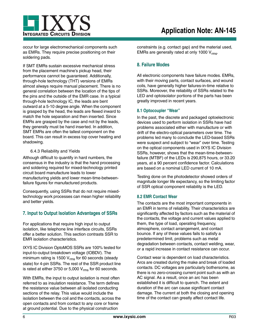

occur for large electromechanical components such as EMRs. They require precise positioning on their soldering pads.

If SMT EMRs sustain excessive mechanical stress from the placement machine's pickup head, their performance cannot be guaranteed. Additionally, through-hole technology (THT) versions of EMRs almost always require manual placement. There is no general correlation between the location of the tips of the pins and the outside of the EMR case. In a typical through-hole technology IC, the leads are bent outward at a 5-10 degree angle. When the component is grasped by the head, the leads are flexed inward to match the hole separation and then inserted. Since EMRs are grasped by the case and not by the leads, they generally must be hand inserted. In addition, SMT EMRs are often the tallest component on the board. This can result in excess top cover heating and shadowing.

#### 6.4.3 Reliability and Yields

Although difficult to quantify in hard numbers, the consensus in the industry is that the hand processing and soldering required for mixed-technology printed circuit board manufacture leads to lower manufacturing yields and lower mean-time-betweenfailure figures for manufactured products.

Consequently, using SSRs that do not require mixedtechnology work processes can mean higher reliability and better yields.

## **7. Input to Output Isolation Advantages of SSRs**

For applications that require high input to output isolation, like telephone line interface circuits, SSRs offer a better solution. This section contrasts SSR to EMR isolation characteristics.

IXYS IC Division OptoMOS SSRs are 100% tested for input-to-output breakdown voltage (IOBDV). The minimum rating is 1500  $V_{rms}$  for 60 seconds (steady state) for 4-pin SSRs. The rest of the SSR product line is rated at either 3750 or 5,000  $V_{rms}$  for 60 seconds.

With EMRs, the input to output isolation is most often referred to as insulation resistance. The term defines the resistance value between all isolated conducting sections of the relay. This value would include the isolation between the coil and the contacts, across the open contacts and from contact to any core or frame at ground potential. Due to the physical construction

constraints (e.g. contact gap) and the material used, EMRs are generally rated at only 1000 Vrms.

## **8. Failure Modes**

All electronic components have failure modes. EMRs, with their moving parts, contact surfaces, and wound coils, have generally higher failures-in-time relative to SSRs. Moreover, the reliability of SSRs related to the LED and optoisolator portions of the parts has been greatly improved in recent years.

#### **8.1 Optocoupler "Wear"**

In the past, the discrete and packaged optoelectronic devices used to perform isolation in SSRs have had problems associated either with manufacture or with drift of the electro-optical parameters over time. The problems led many to conclude the LED-based SSRs were suspect and subject to "wear" over time. Testing on the optical components used in IXYS IC Division SSRs, however, shows that the mean-time-betweenfailure (MTBF) of the LEDs is 290,875 hours, or 33.20 years, at a 90 percent confidence factor. Calculations are based on a nominal LED current of 10 mA.

Testing done on the photodetector showed orders of magnitude longer life expectancy, so the limiting factor of SSR optical component reliability is the LED.

#### **8.2 EMR Contact Wear**

The contacts are the most important components in an EMR in terms of reliability. Their characteristics are significantly affected by factors such as the material of the contacts, the voltage and current values applied to them, the type of load, operating frequency, atmosphere, contact arrangement, and contact bounce. If any of these values fails to satisfy a predetermined limit, problems such as metal degradation between contacts, contact welding, wear, or a rapid increase in contact resistance can occur.

Contact wear is dependent on load characteristics. Arcs are created during the make and break of loaded contacts. DC voltages are particularly bothersome, as there is no zero-crossing current point such as with an AC signal. As a result, once an arc has been established it is difficult to quench. The extent and duration of the arc can cause significant contact damage. The current at both the closing and opening time of the contact can greatly affect contact life.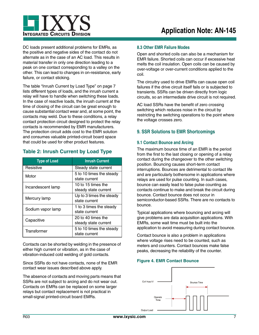

DC loads present additional problems for EMRs, as the positive and negative sides of the contact do not alternate as in the case of an AC load. This results in material transfer in only one direction leading to a peak on one contact corresponding to a valley on the other. This can lead to changes in on-resistance, early failure, or contact sticking.

The table ["Inrush Current by Load Type" on page 7](#page-6-0) lists different types of loads, and the inrush current a relay will have to handle when switching these loads. In the case of reactive loads, the inrush current at the time of closing of the circuit can be great enough to cause substantial contact wear and, at some point, the contacts may weld. Due to these conditions, a relay contact protection circuit designed to protect the relay contacts is recommended by EMR manufacturers. The protection circuit adds cost to the EMR solution and consumes valuable printed-circuit board space that could be used for other product features.

## <span id="page-6-0"></span>**Table 2: Inrush Current by Load Type**

| <b>Type of Load</b> | <b>Inrush Current</b>                      |  |
|---------------------|--------------------------------------------|--|
| Resistive           | Steady state current                       |  |
| Motor               | 5 to 10 times the steady<br>state current  |  |
| Incandescent lamp   | 10 to 15 times the<br>steady state current |  |
| Mercury lamp        | Up to 3 times the steady<br>state current  |  |
| Sodium vapor lamp   | 1 to 3 times the steady<br>state current   |  |
| Capacitive          | 20 to 40 times the<br>steady state current |  |
| Transformer         | 5 to 10 times the steady<br>state current  |  |

Contacts can be shorted by welding in the presence of either high current or vibration, as in the case of vibration-induced cold welding of gold contacts.

Since SSRs do not have contacts, none of the EMR contact wear issues described above apply.

The absence of contacts and moving parts means that SSRs are not subject to arcing and do not wear out. Contacts on EMRs can be replaced on some larger relays but contact replacement is not practical in small-signal printed-circuit board EMRs.

### **8.3 Other EMR Failure Modes**

Open and shorted coils can also be a mechanism for EMR failure. Shorted coils can occur if excessive heat melts the coil insulation. Open coils can be caused by over-voltage or over-current conditions applied to the coil.

The circuitry used to drive EMRs can cause open coil failures if the drive circuit itself fails or is subjected to transients. SSRs can be driven directly from logic circuits, so an intermediate drive circuit is not required.

AC load SSRs have the benefit of zero crossing switching which reduces noise in the circuit by restricting the switching operations to the point where the voltage crosses zero.

### **9. SSR Solutions to EMR Shortcomings**

### **9.1 Contact Bounce and Arcing**

The maximum bounce time of an EMR is the period from the first to the last closing or opening of a relay contact during the changeover to the other switching position. Bouncing causes short-term contact interruptions. Bounces are detrimental to contact life and are particularly bothersome in applications where relays are used for pulse counting. In such cases, bounce can easily lead to false pulse counting as contacts continue to make and break the circuit during bounce. Contact bounce does not occur in semiconductor-based SSRs. There are no contacts to bounce.

Typical applications where bouncing and arcing will give problems are data acquisition applications. With EMRs, some wait time must be built into the application to avoid measuring during contact bounce.

Contact bounce is also a problem in applications where voltage rises need to be counted, such as meters and counters. Contact bounces make false peaks, decreasing the reliability of the counter.

#### <span id="page-6-1"></span>**Figure 4. EMR Contact Bounce**

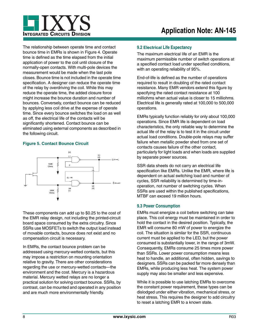

The relationship between operate time and contact bounce time in EMRs is shown in [Figure 4.](#page-6-1) Operate time is defined as the time elapsed from the initial application of power to the coil until closure of the normally-open contacts. With multi-pole devices the measurement would be made when the last pole closes. Bounce time is not included in the operate time specification. A designer can reduce the operate time of the relay by overdriving the coil. While this may reduce the operate time, the added closure force might increase the bounce duration and number of bounces. Conversely, contact bounce can be reduced by applying less coil drive at the expense of operate time. Since every bounce switches the load on as well as off, the electrical life of the contacts will be significantly shortened. Contact bounce can be eliminated using external components as described in the following circuit.

### **Figure 5. Contact Bounce Circuit**



These components can add up to \$0.25 to the cost of the EMR relay design, not including the printed-circuit board space consumed by the extra circuitry. Since SSRs use MOSFETs to switch the output load instead of movable contacts, bounce does not exist and no compensation circuit is necessary.

In EMRs, the contact bounce problem can be addressed using mercury-wetted contacts, but this may impose a restriction on mounting orientation relative to gravity. There are other considerations regarding the use or mercury-wetted contacts—the environment and the cost. Mercury is a hazardous material. Mercury wetted relays are no longer a practical solution for solving contact bounce. SSRs, by contrast, can be mounted and operated in any position and are much more environmentally friendly.

### **9.2 Electrical Life Expectancy**

The maximum electrical life of an EMR is the maximum permissible number of switch operations at a specified contact load under specified conditions, with an operating reliability of 95%.

End-of-life is defined as the number of operations required to result in doubling of the rated contact resistance. Many EMR vendors extend this figure by specifying the rated contact resistance at 100 milliohms when actual value is closer to 15 milliohms. Electrical life is generally rated at 100,000 to 500,000 operations.

EMRs typically function reliably for only about 100,000 operations. Since EMR life is dependent on load characteristics, the only reliable way to determine the actual life of the relay is to test it in the circuit under actual load conditions. Double-pole relays may suffer failure when metallic powder shed from one set of contacts causes failure of the other contact, particularly for light loads and when loads are supplied by separate power sources.

SSR data sheets do not carry an electrical life specification like EMRs. Unlike the EMR, where life is dependent on actual switching load and number of cycles, SSR reliability is determined by time-inoperation, not number of switching cycles. When SSRs are used within the published specifications, MTBF can exceed 19 million hours.

### **9.3 Power Consumption**

EMRs must energize a coil before switching can take place. This coil energy must be maintained in order to hold the contact in the desired position. Typically, the EMR will consume 80 mW of power to energize the coil. The situation is similar for the SSR, continuous current must be applied to the LED, but the power consumed is substantially lower, in the range of 3mW. Consequently, EMRs consume 25 times more power than SSRs. Lower power consumption means less heat to handle, an additional, often hidden, savings to designers. SSRs can be packed far more densely than EMRs, while producing less heat. The system power supply may also be smaller and less expensive.

While it is possible to use latching EMRs to overcome the constant power requirement, these types can be dislodged under either vibration, mechanical stress, or heat stress. This requires the designer to add circuitry to reset a latching EMR to a known state.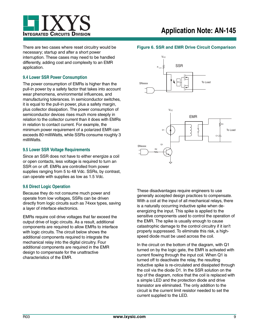

There are two cases where reset circuitry would be necessary; startup and after a short power interruption. These cases may need to be handled differently, adding cost and complexity to an EMR application.

### **9.4 Lower SSR Power Consumption**

The power consumption of EMRs is higher than the pull-in power by a safety factor that takes into account wear phenomena, environmental influences, and manufacturing tolerances. In semiconductor switches, it is equal to the pull-in power, plus a safety margin, plus collector dissipation. The power consumption of semiconductor devices rises much more steeply in relation to the collector current than it does with EMRs in relation to contact current. For example, the minimum power requirement of a polarized EMR can exceeds 80 milliWatts, while SSRs consume roughly 3 milliWatts.

#### **9.5 Lower SSR Voltage Requirements**

Since an SSR does not have to either energize a coil or open contacts, less voltage is required to turn an SSR on or off. EMRs are controlled from power supplies ranging from 5 to 48 Vdc. SSRs, by contrast, can operate with supplies as low as 1.5 Vdc.

### **9.6 Direct Logic Operation**

Because they do not consume much power and operate from low voltages, SSRs can be driven directly from logic circuits such as 74xxx types, saving a layer of interface electronics.

EMRs require coil drive voltages that far exceed the output drive of logic circuits. As a result, additional components are required to allow EMRs to interface with logic circuits. The circuit below shows the additional components required to integrate the mechanical relay into the digital circuitry. Four additional components are required in the EMR design to compensate for the unattractive characteristics of the EMR.



**Figure 6. SSR and EMR Drive Circuit Comparison**



These disadvantages require engineers to use generally accepted design practices to compensate. With a coil at the input of all mechanical relays, there is a naturally occurring inductive spike when deenergizing the input. This spike is applied to the sensitive components used to control the operation of the EMR. The spike is usually enough to cause catastrophic damage to the control circuitry if it isn't properly suppressed. To eliminate this risk, a highspeed diode must be used across the coil.

In the circuit on the bottom of the diagram, with Q1 turned on by the logic gate, the EMR is activated with current flowing through the input coil. When Q1 is turned off to deactivate the relay, the resulting inductive spike is re-circulated and dissipated through the coil via the diode D1. In the SSR solution on the top of the diagram, notice that the coil is replaced with a simple LED and the protection diode and drive transistor are eliminated. The only addition to the circuit is the current limit resistor needed to set the current supplied to the LED.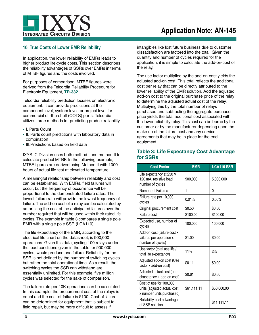

## **10. True Costs of Lower EMR Reliability**

In application, the lower reliability of EMRs leads to higher product life-cycle costs. This section describes the reliability advantages of SSRs over EMRs in terms of MTBF figures and the costs involved.

For purposes of comparison, MTBF figures were derived from the Telcordia Reliability Procedure for Electronic Equipment, **TR-332**.

Telcordia reliability prediction focuses on electronic equipment. It can provide predictions at the component level, system level, or project level for commercial off-the-shelf (COTS) parts. Telcordia utilizes three methods for predicting product reliability.

- **•** I. Parts Count
- **•** II. Parts count predictions with laboratory data in combination
- **•** III.Predictions based on field data

IXYS IC Division uses both method I and method II to calculate product MTBF. In the following example, MTBF figures are derived using Method II with 1000 hours of actual life test at elevated temperature.

A meaningful relationship between reliability and cost can be established. With EMRs, field failures will occur, but the frequency of occurrence will be proportional to the demonstrated failure rates. The lowest failure rate will provide the lowest frequency of failure. The add-on cost of a relay can be calculated by amortizing the cost of the anticipated failures over the number required that will be used within their rated life cycles. The example in table 3 compares a single pole EMR with a single pole SSR (LCA110).

The life expectancy of the EMR, according to the electrical life chart on the datasheet, is 900,000 operations. Given this data, cycling 100 relays under the load conditions given in the table for 900,000 cycles, would produce one failure. Reliability for the SSR is not defined by the number of switching cycles but rather the total operational time. As a result, the switching cycles the SSR can withstand are essentially unlimited. For this example, five million cycles was selected for the sake of comparison.

The failure rate per 10K operations can be calculated. In this example, the procurement cost of the relays is equal and the cost-of-failure is \$100. Cost-of-failure can be determined for equipment that is subject to field repair, but may be more difficult to assess if

intangibles like lost future business due to customer dissatisfaction are factored into the total. Given the quantity and number of cycles required for the application, it is simple to calculate the add-on-cost of the relay.

The use factor multiplied by the add-on-cost yields the adjusted add-on cost. This total reflects the additional cost per relay that can be directly attributed to the lower reliability of the EMR solution. Add the adjusted add-on cost to the original purchase price of the relay to determine the adjusted actual cost of the relay. Multiplying this by the total number of relays purchased and subtracting the aggregate purchase price yields the total additional cost associated with the lower reliability relay. This cost can be borne by the customer or by the manufacturer depending upon the make up of the failure cost and any service agreements that may be in place for the end equipment.

## **Table 3: Life Expectancy Cost Advantage for SSRs**

| <b>Cost Factor</b>                                                                  | <b>EMR</b>  | <b>LCA110 SSR</b> |
|-------------------------------------------------------------------------------------|-------------|-------------------|
| Life expectancy at 250 V,<br>120 mA, resistive load,<br>number of cycles            | 900,000     | 5,000,000         |
| Number of Failures                                                                  | 1           | 0                 |
| Failure rate per 10,000<br>cycles                                                   | 0.01%       | $0.00\%$          |
| Original procurement cost                                                           | \$0.50      | \$0.50            |
| Failure cost                                                                        | \$100.00    | \$100.00          |
| Expected use, number of<br>cycles                                                   | 100,000     | 100,000           |
| Add-on cost (failure cost x<br>failures per operation x<br>number of cycles)        | \$1.00      | \$0.00            |
| Use factor (total use life /<br>total life expectancy)                              | 11%         | 2%                |
| Adjusted add-on cost (Use<br>factor x add-on cost)                                  | \$0.11      | \$0.00            |
| Adjusted actual cost (pur-<br>chase price + add-on cost)                            | \$0.61      | \$0.50            |
| Cost of use for 100,000<br>units (adjusted actual cost<br>x number units purchased) | \$61,111.11 | \$50,000.00       |
| Reliability cost advantage<br>of SSR solution                                       |             | \$11,111.11       |